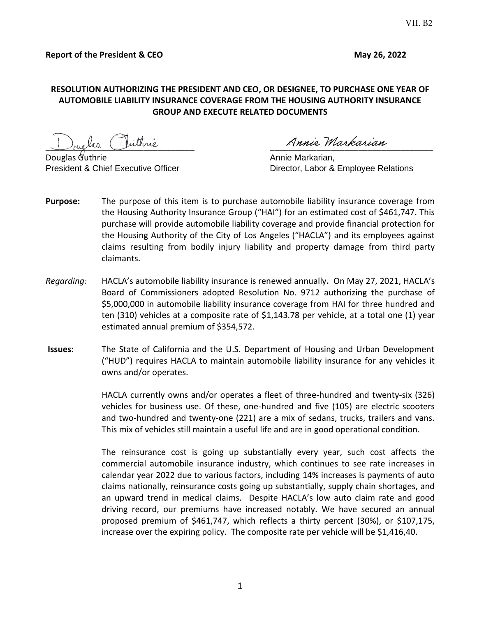## **RESOLUTION AUTHORIZING THE PRESIDENT AND CEO, OR DESIGNEE, TO PURCHASE ONE YEAR OF AUTOMOBILE LIABILITY INSURANCE COVERAGE FROM THE HOUSING AUTHORITY INSURANCE GROUP AND EXECUTE RELATED DOCUMENTS**

 $\frac{1}{\sqrt{2\pi}}$  and  $\frac{1}{\sqrt{2\pi}}$ 

Annie Markarian, President & Chief Executive Officer **Director, Labor & Employee Relations** 

- **Purpose:** The purpose of this item is to purchase automobile liability insurance coverage from the Housing Authority Insurance Group ("HAI") for an estimated cost of \$461,747. This purchase will provide automobile liability coverage and provide financial protection for the Housing Authority of the City of Los Angeles ("HACLA") and its employees against claims resulting from bodily injury liability and property damage from third party claimants.
- *Regarding:* HACLA's automobile liability insurance is renewed annually**.** On May 27, 2021, HACLA's Board of Commissioners adopted Resolution No. 9712 authorizing the purchase of \$5,000,000 in automobile liability insurance coverage from HAI for three hundred and ten (310) vehicles at a composite rate of \$1,143.78 per vehicle, at a total one (1) year estimated annual premium of \$354,572.
- **Issues:** The State of California and the U.S. Department of Housing and Urban Development ("HUD") requires HACLA to maintain automobile liability insurance for any vehicles it owns and/or operates.

HACLA currently owns and/or operates a fleet of three-hundred and twenty-six (326) vehicles for business use. Of these, one-hundred and five (105) are electric scooters and two-hundred and twenty-one (221) are a mix of sedans, trucks, trailers and vans. This mix of vehicles still maintain a useful life and are in good operational condition.

The reinsurance cost is going up substantially every year, such cost affects the commercial automobile insurance industry, which continues to see rate increases in calendar year 2022 due to various factors, including 14% increases is payments of auto claims nationally, reinsurance costs going up substantially, supply chain shortages, and an upward trend in medical claims. Despite HACLA's low auto claim rate and good driving record, our premiums have increased notably. We have secured an annual proposed premium of \$461,747, which reflects a thirty percent (30%), or \$107,175, increase over the expiring policy. The composite rate per vehicle will be \$1,416,40.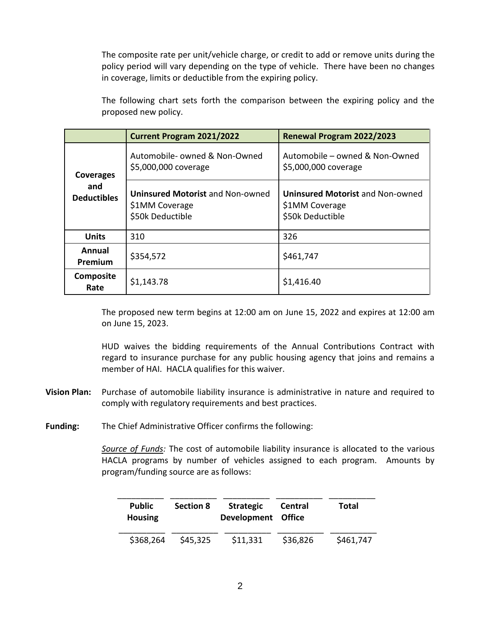The composite rate per unit/vehicle charge, or credit to add or remove units during the policy period will vary depending on the type of vehicle. There have been no changes in coverage, limits or deductible from the expiring policy.

The following chart sets forth the comparison between the expiring policy and the proposed new policy.

|                                               | <b>Current Program 2021/2022</b>                                              | Renewal Program 2022/2023                                                     |  |
|-----------------------------------------------|-------------------------------------------------------------------------------|-------------------------------------------------------------------------------|--|
| <b>Coverages</b><br>and<br><b>Deductibles</b> | Automobile- owned & Non-Owned<br>\$5,000,000 coverage                         | Automobile - owned & Non-Owned<br>\$5,000,000 coverage                        |  |
|                                               | <b>Uninsured Motorist and Non-owned</b><br>\$1MM Coverage<br>\$50k Deductible | <b>Uninsured Motorist and Non-owned</b><br>\$1MM Coverage<br>\$50k Deductible |  |
| <b>Units</b>                                  | 310                                                                           | 326                                                                           |  |
| Annual<br>Premium                             | \$354,572                                                                     | \$461,747                                                                     |  |
| <b>Composite</b><br>Rate                      | \$1,143.78                                                                    | \$1,416.40                                                                    |  |

The proposed new term begins at 12:00 am on June 15, 2022 and expires at 12:00 am on June 15, 2023.

HUD waives the bidding requirements of the Annual Contributions Contract with regard to insurance purchase for any public housing agency that joins and remains a member of HAI. HACLA qualifies for this waiver.

**Vision Plan:** Purchase of automobile liability insurance is administrative in nature and required to comply with regulatory requirements and best practices.

**Funding:** The Chief Administrative Officer confirms the following:

*Source of Funds:* The cost of automobile liability insurance is allocated to the various HACLA programs by number of vehicles assigned to each program. Amounts by program/funding source are as follows:

| <b>Public</b><br><b>Housing</b> | <b>Section 8</b> | Strategic<br>Development Office | Central  | Total     |
|---------------------------------|------------------|---------------------------------|----------|-----------|
| \$368,264                       | \$45,325         | \$11,331                        | \$36,826 | \$461,747 |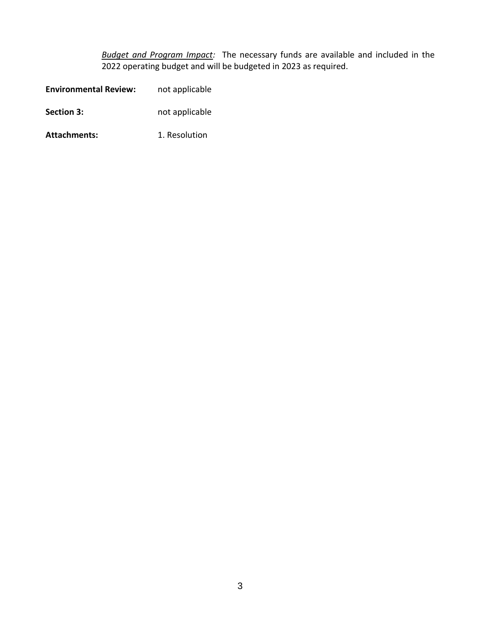*Budget and Program Impact:* The necessary funds are available and included in the 2022 operating budget and will be budgeted in 2023 as required.

| <b>Environmental Review:</b> | not applicable |
|------------------------------|----------------|
| <b>Section 3:</b>            | not applicable |
| <b>Attachments:</b>          | 1. Resolution  |